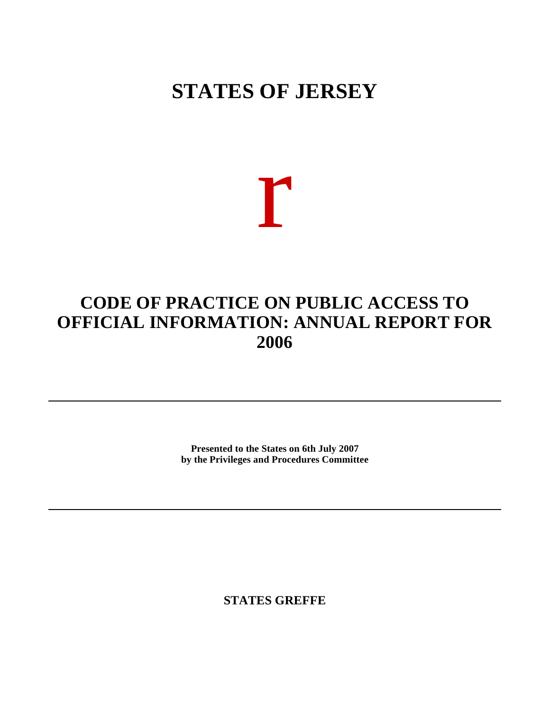## **STATES OF JERSEY**

# r

### **CODE OF PRACTICE ON PUBLIC ACCESS TO OFFICIAL INFORMATION: ANNUAL REPORT FOR 2006**

**Presented to the States on 6th July 2007 by the Privileges and Procedures Committee**

**STATES GREFFE**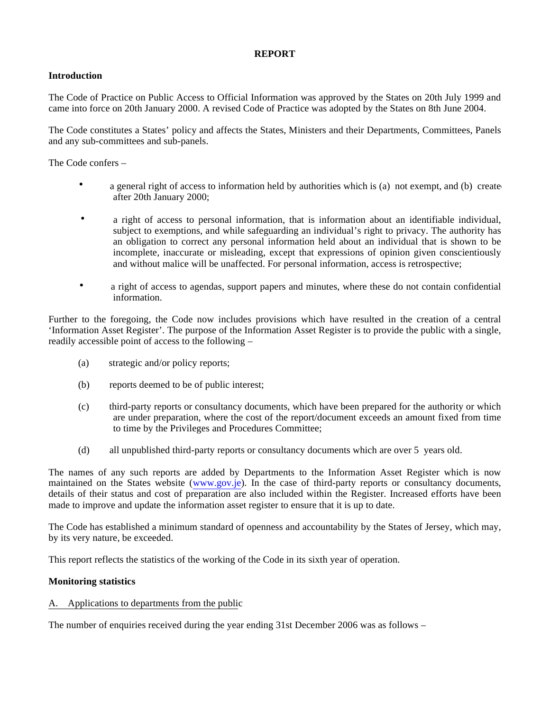#### **REPORT**

#### **Introduction**

The Code of Practice on Public Access to Official Information was approved by the States on 20th July 1999 and came into force on 20th January 2000. A revised Code of Practice was adopted by the States on 8th June 2004.

The Code constitutes a States' policy and affects the States, Ministers and their Departments, Committees, Panels and any sub-committees and sub-panels.

The Code confers –

- a general right of access to information held by authorities which is (a) not exempt, and (b) create after 20th January 2000;
- a right of access to personal information, that is information about an identifiable individual, subject to exemptions, and while safeguarding an individual's right to privacy. The authority has an obligation to correct any personal information held about an individual that is shown to be incomplete, inaccurate or misleading, except that expressions of opinion given conscientiously and without malice will be unaffected. For personal information, access is retrospective;
- a right of access to agendas, support papers and minutes, where these do not contain confidential information.

Further to the foregoing, the Code now includes provisions which have resulted in the creation of a central 'Information Asset Register'. The purpose of the Information Asset Register is to provide the public with a single, readily accessible point of access to the following –

- (a) strategic and/or policy reports;
- (b) reports deemed to be of public interest;
- (c) third-party reports or consultancy documents, which have been prepared for the authority or which are under preparation, where the cost of the report/document exceeds an amount fixed from time to time by the Privileges and Procedures Committee;
- (d) all unpublished third-party reports or consultancy documents which are over 5 years old.

The names of any such reports are added by Departments to the Information Asset Register which is now maintained on the States website (<www.gov.je>). In the case of third-party reports or consultancy documents, details of their status and cost of preparation are also included within the Register. Increased efforts have been made to improve and update the information asset register to ensure that it is up to date.

The Code has established a minimum standard of openness and accountability by the States of Jersey, which may, by its very nature, be exceeded.

This report reflects the statistics of the working of the Code in its sixth year of operation.

#### **Monitoring statistics**

#### A. Applications to departments from the public

The number of enquiries received during the year ending 31st December 2006 was as follows –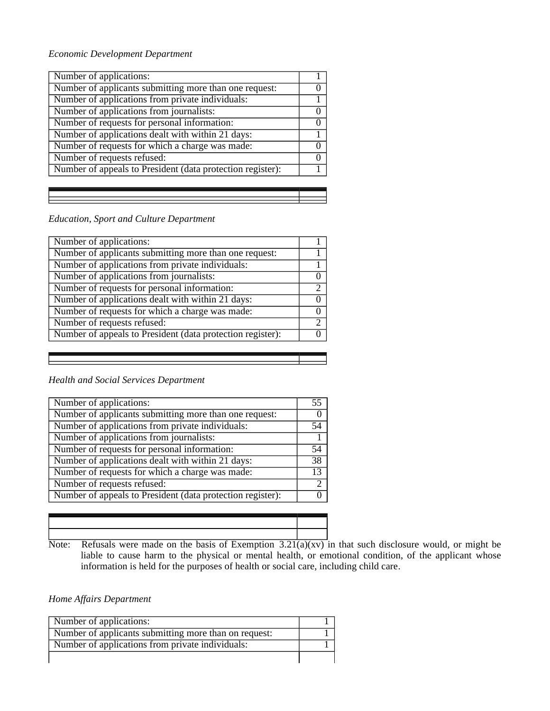#### *Economic Development Department*

| Number of applications:                                    |                  |
|------------------------------------------------------------|------------------|
| Number of applicants submitting more than one request:     |                  |
| Number of applications from private individuals:           |                  |
| Number of applications from journalists:                   | $\theta$         |
| Number of requests for personal information:               | $\left( \right)$ |
| Number of applications dealt with within 21 days:          |                  |
| Number of requests for which a charge was made:            |                  |
| Number of requests refused:                                |                  |
| Number of appeals to President (data protection register): |                  |

#### *Education, Sport and Culture Department*

| Number of applications:                                    |               |
|------------------------------------------------------------|---------------|
| Number of applicants submitting more than one request:     |               |
| Number of applications from private individuals:           |               |
| Number of applications from journalists:                   |               |
| Number of requests for personal information:               | $\gamma$      |
| Number of applications dealt with within 21 days:          |               |
| Number of requests for which a charge was made:            |               |
| Number of requests refused:                                | $\mathcal{D}$ |
| Number of appeals to President (data protection register): |               |
|                                                            |               |

#### *Health and Social Services Department*

| Number of applications:                                    | 55              |
|------------------------------------------------------------|-----------------|
| Number of applicants submitting more than one request:     |                 |
| Number of applications from private individuals:           | 54              |
| Number of applications from journalists:                   |                 |
| Number of requests for personal information:               | 54              |
| Number of applications dealt with within 21 days:          | $\overline{38}$ |
| Number of requests for which a charge was made:            | 13              |
| Number of requests refused:                                | C               |
| Number of appeals to President (data protection register): |                 |
|                                                            |                 |

Note: Refusals were made on the basis of Exemption  $3.21(a)(xv)$  in that such disclosure would, or might be liable to cause harm to the physical or mental health, or emotional condition, of the applicant whose information is held for the purposes of health or social care, including child care.

#### *Home Affairs Department*

| Number of applications:                               |  |
|-------------------------------------------------------|--|
| Number of applicants submitting more than on request: |  |
| Number of applications from private individuals:      |  |
|                                                       |  |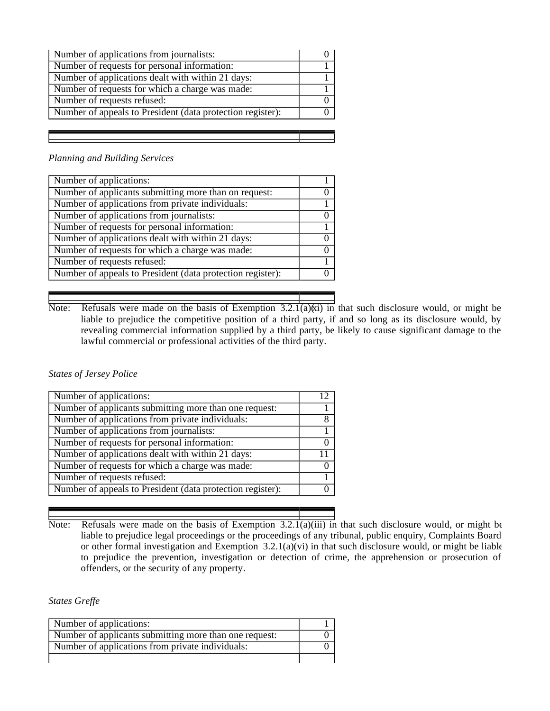| Number of applications from journalists:                   |  |
|------------------------------------------------------------|--|
| Number of requests for personal information:               |  |
| Number of applications dealt with within 21 days:          |  |
| Number of requests for which a charge was made:            |  |
| Number of requests refused:                                |  |
| Number of appeals to President (data protection register): |  |
|                                                            |  |

#### *Planning and Building Services*

| Number of applications:                                    |  |
|------------------------------------------------------------|--|
| Number of applicants submitting more than on request:      |  |
| Number of applications from private individuals:           |  |
| Number of applications from journalists:                   |  |
| Number of requests for personal information:               |  |
| Number of applications dealt with within 21 days:          |  |
| Number of requests for which a charge was made:            |  |
| Number of requests refused:                                |  |
| Number of appeals to President (data protection register): |  |
|                                                            |  |

Note: Refusals were made on the basis of Exemption  $3.2.1(a)(\dot{x})$  in that such disclosure would, or might be liable to prejudice the competitive position of a third party, if and so long as its disclosure would, by revealing commercial information supplied by a third party, be likely to cause significant damage to the lawful commercial or professional activities of the third party.

#### *States of Jersey Police*

| Number of applications:                                    |   |
|------------------------------------------------------------|---|
| Number of applicants submitting more than one request:     |   |
| Number of applications from private individuals:           | 8 |
| Number of applications from journalists:                   |   |
| Number of requests for personal information:               |   |
| Number of applications dealt with within 21 days:          |   |
| Number of requests for which a charge was made:            |   |
| Number of requests refused:                                |   |
| Number of appeals to President (data protection register): |   |
|                                                            |   |

Note: Refusals were made on the basis of Exemption 3.2.1(a)(iii) in that such disclosure would, or might be liable to prejudice legal proceedings or the proceedings of any tribunal, public enquiry, Complaints Board or other formal investigation and Exemption  $3.2.1(a)(vi)$  in that such disclosure would, or might be liable to prejudice the prevention, investigation or detection of crime, the apprehension or prosecution of offenders, or the security of any property.

*States Greffe*

| Number of applications:                                |  |
|--------------------------------------------------------|--|
| Number of applicants submitting more than one request: |  |
| Number of applications from private individuals:       |  |
|                                                        |  |